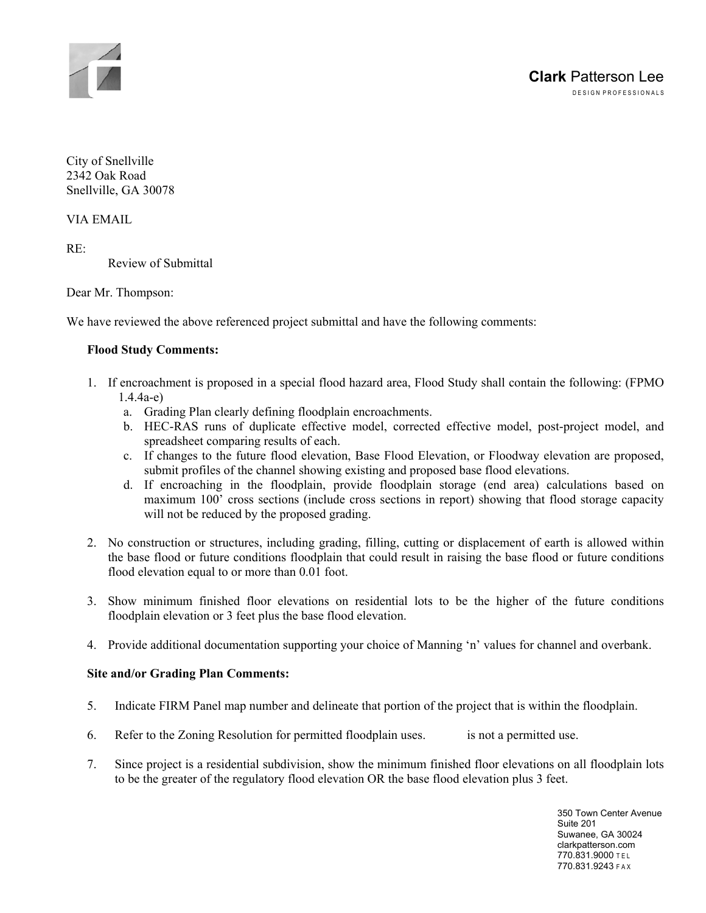

City of Snellville 2342 Oak Road Snellville, GA 30078

VIA EMAIL

 $RE<sup>+</sup>$ 

Review of Submittal

Dear Mr. Thompson:

We have reviewed the above referenced project submittal and have the following comments:

#### **Flood Study Comments:**

- 1. If encroachment is proposed in a special flood hazard area, Flood Study shall contain the following: (FPMO 1.4.4a-e)
	- a. Grading Plan clearly defining floodplain encroachments.
	- b. HEC-RAS runs of duplicate effective model, corrected effective model, post-project model, and spreadsheet comparing results of each.
	- c. If changes to the future flood elevation, Base Flood Elevation, or Floodway elevation are proposed, submit profiles of the channel showing existing and proposed base flood elevations.
	- d. If encroaching in the floodplain, provide floodplain storage (end area) calculations based on maximum 100' cross sections (include cross sections in report) showing that flood storage capacity will not be reduced by the proposed grading.
- 2. No construction or structures, including grading, filling, cutting or displacement of earth is allowed within the base flood or future conditions floodplain that could result in raising the base flood or future conditions flood elevation equal to or more than 0.01 foot.
- 3. Show minimum finished floor elevations on residential lots to be the higher of the future conditions floodplain elevation or 3 feet plus the base flood elevation.
- 4. Provide additional documentation supporting your choice of Manning 'n' values for channel and overbank.

#### **Site and/or Grading Plan Comments:**

- 5. Indicate FIRM Panel map number and delineate that portion of the project that is within the floodplain.
- 6. Refer to the Zoning Resolution for permitted floodplain uses. is not a permitted use.
- 7. Since project is a residential subdivision, show the minimum finished floor elevations on all floodplain lots to be the greater of the regulatory flood elevation OR the base flood elevation plus 3 feet.

350 Town Center Avenue Suite 201 Suwanee, GA 30024 clarkpatterson.com 770.831.9000 T E L 770.831.9243 F A X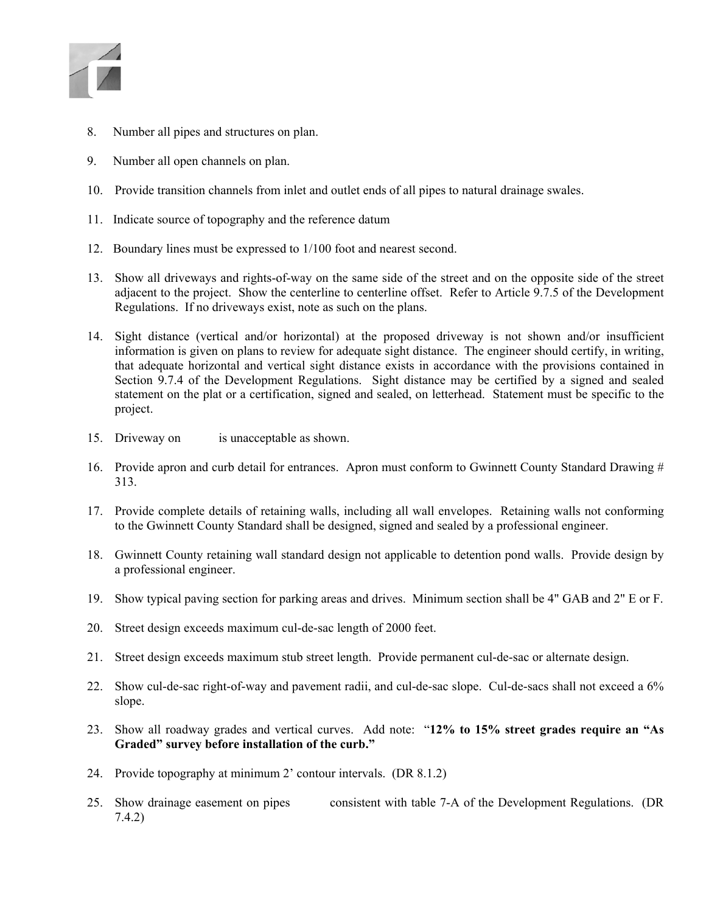

- 8. Number all pipes and structures on plan.
- 9. Number all open channels on plan.
- 10. Provide transition channels from inlet and outlet ends of all pipes to natural drainage swales.
- 11. Indicate source of topography and the reference datum
- 12. Boundary lines must be expressed to 1/100 foot and nearest second.
- 13. Show all driveways and rights-of-way on the same side of the street and on the opposite side of the street adjacent to the project. Show the centerline to centerline offset. Refer to Article 9.7.5 of the Development Regulations. If no driveways exist, note as such on the plans.
- 14. Sight distance (vertical and/or horizontal) at the proposed driveway is not shown and/or insufficient information is given on plans to review for adequate sight distance. The engineer should certify, in writing, that adequate horizontal and vertical sight distance exists in accordance with the provisions contained in Section 9.7.4 of the Development Regulations. Sight distance may be certified by a signed and sealed statement on the plat or a certification, signed and sealed, on letterhead. Statement must be specific to the project.
- 15. Driveway on is unacceptable as shown.
- 16. Provide apron and curb detail for entrances. Apron must conform to Gwinnett County Standard Drawing # 313.
- 17. Provide complete details of retaining walls, including all wall envelopes. Retaining walls not conforming to the Gwinnett County Standard shall be designed, signed and sealed by a professional engineer.
- 18. Gwinnett County retaining wall standard design not applicable to detention pond walls. Provide design by a professional engineer.
- 19. Show typical paving section for parking areas and drives. Minimum section shall be 4" GAB and 2" E or F.
- 20. Street design exceeds maximum cul-de-sac length of 2000 feet.
- 21. Street design exceeds maximum stub street length. Provide permanent cul-de-sac or alternate design.
- 22. Show cul-de-sac right-of-way and pavement radii, and cul-de-sac slope. Cul-de-sacs shall not exceed a 6% slope.
- 23. Show all roadway grades and vertical curves. Add note: "**12% to 15% street grades require an "As Graded" survey before installation of the curb."**
- 24. Provide topography at minimum 2' contour intervals. (DR 8.1.2)
- 25. Show drainage easement on pipes consistent with table 7-A of the Development Regulations. (DR 7.4.2)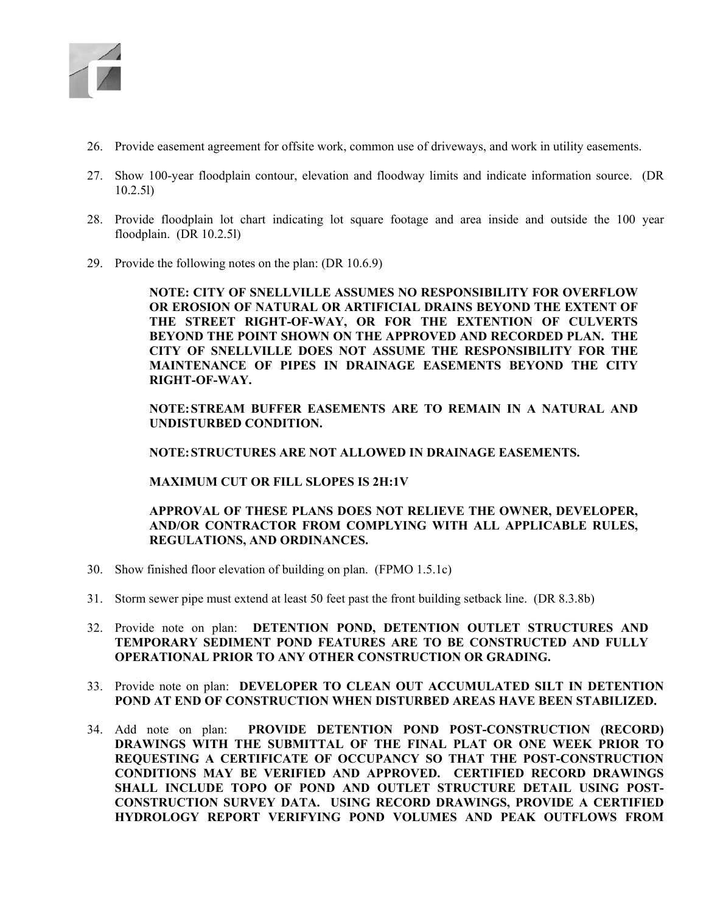

- 26. Provide easement agreement for offsite work, common use of driveways, and work in utility easements.
- 27. Show 100-year floodplain contour, elevation and floodway limits and indicate information source. (DR 10.2.5l)
- 28. Provide floodplain lot chart indicating lot square footage and area inside and outside the 100 year floodplain. (DR 10.2.5l)
- 29. Provide the following notes on the plan: (DR 10.6.9)

**NOTE: CITY OF SNELLVILLE ASSUMES NO RESPONSIBILITY FOR OVERFLOW OR EROSION OF NATURAL OR ARTIFICIAL DRAINS BEYOND THE EXTENT OF THE STREET RIGHT-OF-WAY, OR FOR THE EXTENTION OF CULVERTS BEYOND THE POINT SHOWN ON THE APPROVED AND RECORDED PLAN. THE CITY OF SNELLVILLE DOES NOT ASSUME THE RESPONSIBILITY FOR THE MAINTENANCE OF PIPES IN DRAINAGE EASEMENTS BEYOND THE CITY RIGHT-OF-WAY.** 

**NOTE: STREAM BUFFER EASEMENTS ARE TO REMAIN IN A NATURAL AND UNDISTURBED CONDITION.** 

**NOTE: STRUCTURES ARE NOT ALLOWED IN DRAINAGE EASEMENTS.** 

**MAXIMUM CUT OR FILL SLOPES IS 2H:1V**

**APPROVAL OF THESE PLANS DOES NOT RELIEVE THE OWNER, DEVELOPER, AND/OR CONTRACTOR FROM COMPLYING WITH ALL APPLICABLE RULES, REGULATIONS, AND ORDINANCES.** 

- 30. Show finished floor elevation of building on plan. (FPMO 1.5.1c)
- 31. Storm sewer pipe must extend at least 50 feet past the front building setback line. (DR 8.3.8b)
- 32. Provide note on plan: **DETENTION POND, DETENTION OUTLET STRUCTURES AND TEMPORARY SEDIMENT POND FEATURES ARE TO BE CONSTRUCTED AND FULLY OPERATIONAL PRIOR TO ANY OTHER CONSTRUCTION OR GRADING.**
- 33. Provide note on plan: **DEVELOPER TO CLEAN OUT ACCUMULATED SILT IN DETENTION POND AT END OF CONSTRUCTION WHEN DISTURBED AREAS HAVE BEEN STABILIZED.**
- 34. Add note on plan: **PROVIDE DETENTION POND POST-CONSTRUCTION (RECORD) DRAWINGS WITH THE SUBMITTAL OF THE FINAL PLAT OR ONE WEEK PRIOR TO REQUESTING A CERTIFICATE OF OCCUPANCY SO THAT THE POST-CONSTRUCTION CONDITIONS MAY BE VERIFIED AND APPROVED. CERTIFIED RECORD DRAWINGS SHALL INCLUDE TOPO OF POND AND OUTLET STRUCTURE DETAIL USING POST-CONSTRUCTION SURVEY DATA. USING RECORD DRAWINGS, PROVIDE A CERTIFIED HYDROLOGY REPORT VERIFYING POND VOLUMES AND PEAK OUTFLOWS FROM**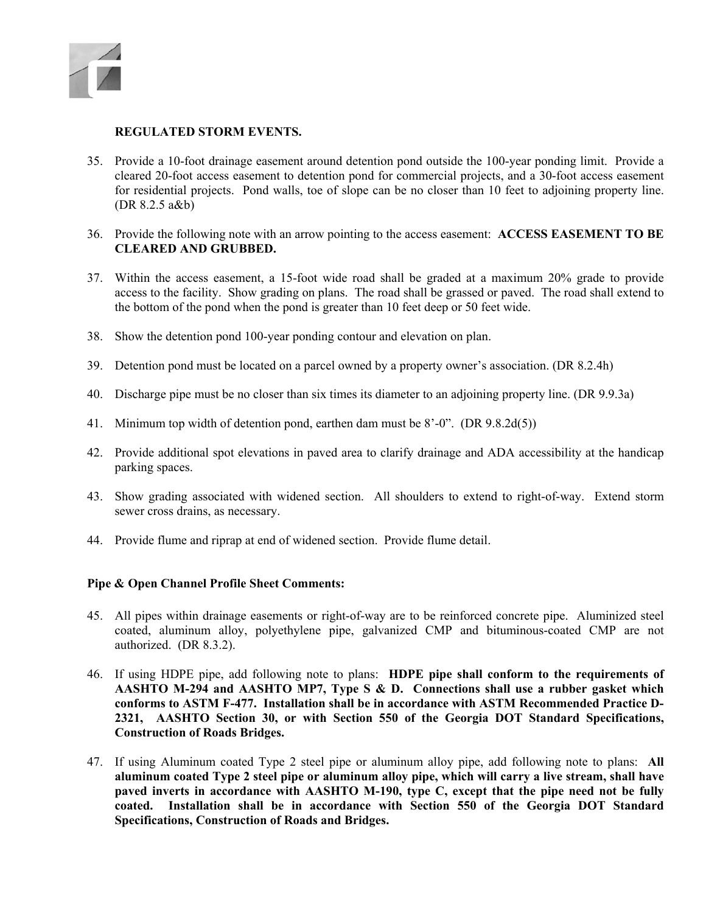

### **REGULATED STORM EVENTS.**

- 35. Provide a 10-foot drainage easement around detention pond outside the 100-year ponding limit. Provide a cleared 20-foot access easement to detention pond for commercial projects, and a 30-foot access easement for residential projects. Pond walls, toe of slope can be no closer than 10 feet to adjoining property line. (DR 8.2.5 a&b)
- 36. Provide the following note with an arrow pointing to the access easement: **ACCESS EASEMENT TO BE CLEARED AND GRUBBED.**
- 37. Within the access easement, a 15-foot wide road shall be graded at a maximum 20% grade to provide access to the facility. Show grading on plans. The road shall be grassed or paved. The road shall extend to the bottom of the pond when the pond is greater than 10 feet deep or 50 feet wide.
- 38. Show the detention pond 100-year ponding contour and elevation on plan.
- 39. Detention pond must be located on a parcel owned by a property owner's association. (DR 8.2.4h)
- 40. Discharge pipe must be no closer than six times its diameter to an adjoining property line. (DR 9.9.3a)
- 41. Minimum top width of detention pond, earthen dam must be 8'-0". (DR 9.8.2d(5))
- 42. Provide additional spot elevations in paved area to clarify drainage and ADA accessibility at the handicap parking spaces.
- 43. Show grading associated with widened section. All shoulders to extend to right-of-way. Extend storm sewer cross drains, as necessary.
- 44. Provide flume and riprap at end of widened section. Provide flume detail.

#### **Pipe & Open Channel Profile Sheet Comments:**

- 45. All pipes within drainage easements or right-of-way are to be reinforced concrete pipe. Aluminized steel coated, aluminum alloy, polyethylene pipe, galvanized CMP and bituminous-coated CMP are not authorized. (DR 8.3.2).
- 46. If using HDPE pipe, add following note to plans: **HDPE pipe shall conform to the requirements of AASHTO M-294 and AASHTO MP7, Type S & D. Connections shall use a rubber gasket which conforms to ASTM F-477. Installation shall be in accordance with ASTM Recommended Practice D-2321, AASHTO Section 30, or with Section 550 of the Georgia DOT Standard Specifications, Construction of Roads Bridges.**
- 47. If using Aluminum coated Type 2 steel pipe or aluminum alloy pipe, add following note to plans: **All aluminum coated Type 2 steel pipe or aluminum alloy pipe, which will carry a live stream, shall have paved inverts in accordance with AASHTO M-190, type C, except that the pipe need not be fully coated. Installation shall be in accordance with Section 550 of the Georgia DOT Standard Specifications, Construction of Roads and Bridges.**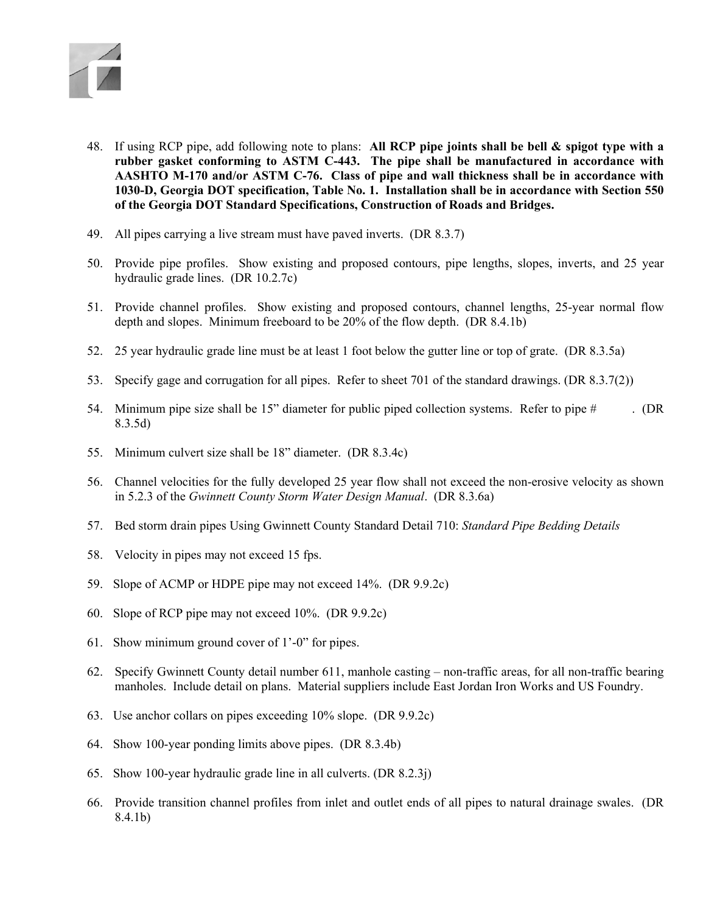

- 48. If using RCP pipe, add following note to plans: **All RCP pipe joints shall be bell & spigot type with a rubber gasket conforming to ASTM C-443. The pipe shall be manufactured in accordance with AASHTO M-170 and/or ASTM C-76. Class of pipe and wall thickness shall be in accordance with 1030-D, Georgia DOT specification, Table No. 1. Installation shall be in accordance with Section 550 of the Georgia DOT Standard Specifications, Construction of Roads and Bridges.**
- 49. All pipes carrying a live stream must have paved inverts. (DR 8.3.7)
- 50. Provide pipe profiles. Show existing and proposed contours, pipe lengths, slopes, inverts, and 25 year hydraulic grade lines. (DR 10.2.7c)
- 51. Provide channel profiles. Show existing and proposed contours, channel lengths, 25-year normal flow depth and slopes. Minimum freeboard to be 20% of the flow depth. (DR 8.4.1b)
- 52. 25 year hydraulic grade line must be at least 1 foot below the gutter line or top of grate. (DR 8.3.5a)
- 53. Specify gage and corrugation for all pipes. Refer to sheet 701 of the standard drawings. (DR 8.3.7(2))
- 54. Minimum pipe size shall be 15" diameter for public piped collection systems. Refer to pipe # . (DR 8.3.5d)
- 55. Minimum culvert size shall be 18" diameter. (DR 8.3.4c)
- 56. Channel velocities for the fully developed 25 year flow shall not exceed the non-erosive velocity as shown in 5.2.3 of the *Gwinnett County Storm Water Design Manual*. (DR 8.3.6a)
- 57. Bed storm drain pipes Using Gwinnett County Standard Detail 710: *Standard Pipe Bedding Details*
- 58. Velocity in pipes may not exceed 15 fps.
- 59. Slope of ACMP or HDPE pipe may not exceed 14%. (DR 9.9.2c)
- 60. Slope of RCP pipe may not exceed 10%. (DR 9.9.2c)
- 61. Show minimum ground cover of 1'-0" for pipes.
- 62. Specify Gwinnett County detail number 611, manhole casting non-traffic areas, for all non-traffic bearing manholes. Include detail on plans. Material suppliers include East Jordan Iron Works and US Foundry.
- 63. Use anchor collars on pipes exceeding 10% slope. (DR 9.9.2c)
- 64. Show 100-year ponding limits above pipes. (DR 8.3.4b)
- 65. Show 100-year hydraulic grade line in all culverts. (DR 8.2.3j)
- 66. Provide transition channel profiles from inlet and outlet ends of all pipes to natural drainage swales. (DR 8.4.1b)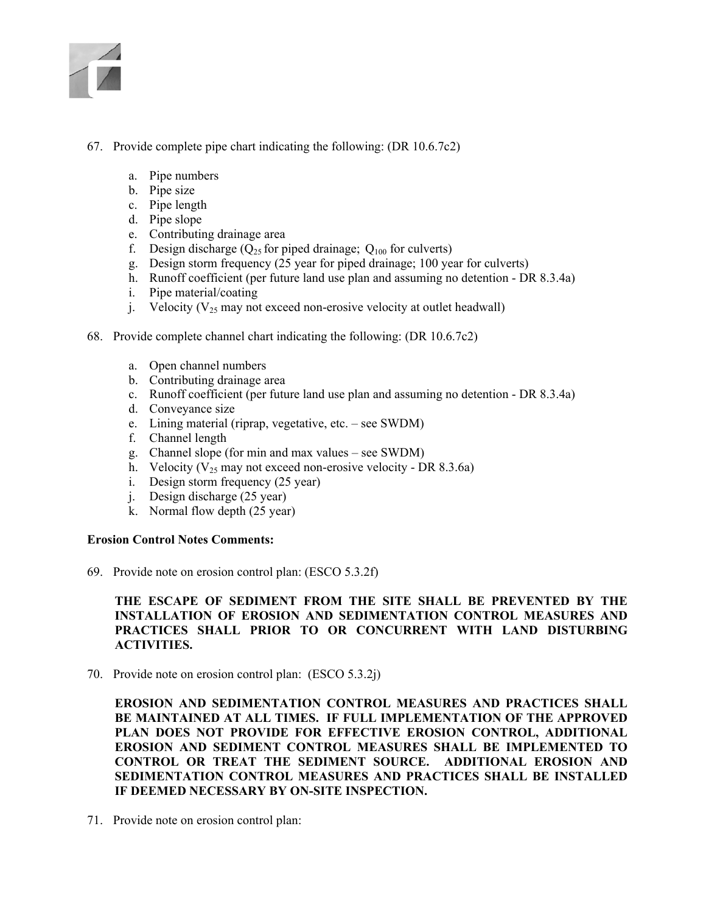

- 67. Provide complete pipe chart indicating the following: (DR 10.6.7c2)
	- a. Pipe numbers
	- b. Pipe size
	- c. Pipe length
	- d. Pipe slope
	- e. Contributing drainage area
	- f. Design discharge ( $Q_{25}$  for piped drainage;  $Q_{100}$  for culverts)
	- g. Design storm frequency (25 year for piped drainage; 100 year for culverts)
	- h. Runoff coefficient (per future land use plan and assuming no detention DR 8.3.4a)
	- i. Pipe material/coating
	- j. Velocity ( $V_{25}$  may not exceed non-erosive velocity at outlet headwall)
- 68. Provide complete channel chart indicating the following: (DR 10.6.7c2)
	- a. Open channel numbers
	- b. Contributing drainage area
	- c. Runoff coefficient (per future land use plan and assuming no detention DR 8.3.4a)
	- d. Conveyance size
	- e. Lining material (riprap, vegetative, etc. see SWDM)
	- f. Channel length
	- g. Channel slope (for min and max values see SWDM)
	- h. Velocity ( $V_{25}$  may not exceed non-erosive velocity DR 8.3.6a)
	- i. Design storm frequency (25 year)
	- j. Design discharge (25 year)
	- k. Normal flow depth (25 year)

#### **Erosion Control Notes Comments:**

69. Provide note on erosion control plan: (ESCO 5.3.2f)

## **THE ESCAPE OF SEDIMENT FROM THE SITE SHALL BE PREVENTED BY THE INSTALLATION OF EROSION AND SEDIMENTATION CONTROL MEASURES AND PRACTICES SHALL PRIOR TO OR CONCURRENT WITH LAND DISTURBING ACTIVITIES.**

70. Provide note on erosion control plan: (ESCO 5.3.2j)

**EROSION AND SEDIMENTATION CONTROL MEASURES AND PRACTICES SHALL BE MAINTAINED AT ALL TIMES. IF FULL IMPLEMENTATION OF THE APPROVED PLAN DOES NOT PROVIDE FOR EFFECTIVE EROSION CONTROL, ADDITIONAL EROSION AND SEDIMENT CONTROL MEASURES SHALL BE IMPLEMENTED TO CONTROL OR TREAT THE SEDIMENT SOURCE. ADDITIONAL EROSION AND SEDIMENTATION CONTROL MEASURES AND PRACTICES SHALL BE INSTALLED IF DEEMED NECESSARY BY ON-SITE INSPECTION.** 

71. Provide note on erosion control plan: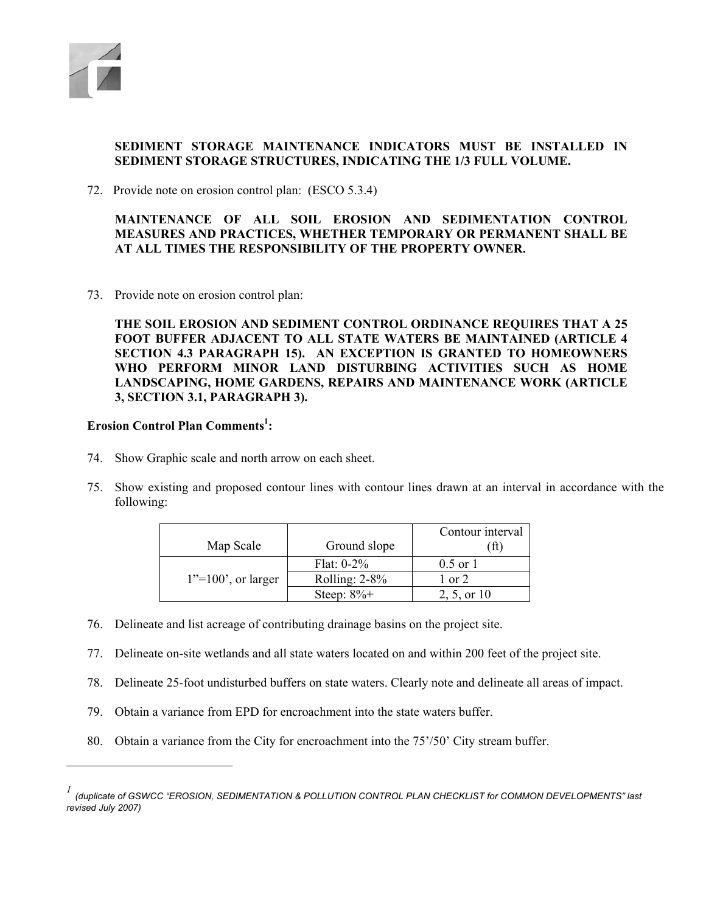

l

# **SEDIMENT STORAGE MAINTENANCE INDICATORS MUST BE INSTALLED IN SEDIMENT STORAGE STRUCTURES, INDICATING THE 1/3 FULL VOLUME.**

72. Provide note on erosion control plan: (ESCO 5.3.4)

**MAINTENANCE OF ALL SOIL EROSION AND SEDIMENTATION CONTROL MEASURES AND PRACTICES, WHETHER TEMPORARY OR PERMANENT SHALL BE AT ALL TIMES THE RESPONSIBILITY OF THE PROPERTY OWNER.** 

73. Provide note on erosion control plan:

**THE SOIL EROSION AND SEDIMENT CONTROL ORDINANCE REQUIRES THAT A 25 FOOT BUFFER ADJACENT TO ALL STATE WATERS BE MAINTAINED (ARTICLE 4 SECTION 4.3 PARAGRAPH 15). AN EXCEPTION IS GRANTED TO HOMEOWNERS WHO PERFORM MINOR LAND DISTURBING ACTIVITIES SUCH AS HOME LANDSCAPING, HOME GARDENS, REPAIRS AND MAINTENANCE WORK (ARTICLE 3, SECTION 3.1, PARAGRAPH 3).** 

## **Erosion Control Plan Comments<sup>1</sup> :**

- 74. Show Graphic scale and north arrow on each sheet.
- 75. Show existing and proposed contour lines with contour lines drawn at an interval in accordance with the following:

|                       |                  | Contour interval |
|-----------------------|------------------|------------------|
| Map Scale             | Ground slope     |                  |
|                       | Flat: $0-2\%$    | $0.5$ or $1$     |
| $1"=100'$ , or larger | Rolling: $2-8\%$ | 1 or 2           |
|                       | Steep: $8\%+$    | 2, 5, or 10      |

- 76. Delineate and list acreage of contributing drainage basins on the project site.
- 77. Delineate on-site wetlands and all state waters located on and within 200 feet of the project site.
- 78. Delineate 25-foot undisturbed buffers on state waters. Clearly note and delineate all areas of impact.
- 79. Obtain a variance from EPD for encroachment into the state waters buffer.
- 80. Obtain a variance from the City for encroachment into the 75'/50' City stream buffer.

*<sup>1</sup> (duplicate of GSWCC "EROSION, SEDIMENTATION & POLLUTION CONTROL PLAN CHECKLIST for COMMON DEVELOPMENTS" last revised July 2007)*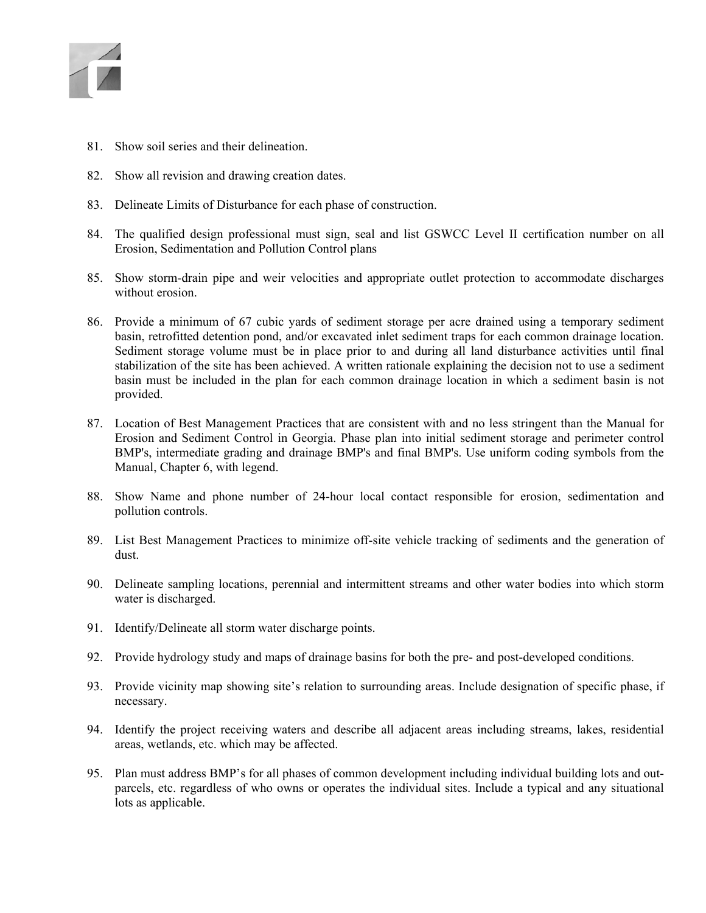

- 81. Show soil series and their delineation.
- 82. Show all revision and drawing creation dates.
- 83. Delineate Limits of Disturbance for each phase of construction.
- 84. The qualified design professional must sign, seal and list GSWCC Level II certification number on all Erosion, Sedimentation and Pollution Control plans
- 85. Show storm-drain pipe and weir velocities and appropriate outlet protection to accommodate discharges without erosion.
- 86. Provide a minimum of 67 cubic yards of sediment storage per acre drained using a temporary sediment basin, retrofitted detention pond, and/or excavated inlet sediment traps for each common drainage location. Sediment storage volume must be in place prior to and during all land disturbance activities until final stabilization of the site has been achieved. A written rationale explaining the decision not to use a sediment basin must be included in the plan for each common drainage location in which a sediment basin is not provided.
- 87. Location of Best Management Practices that are consistent with and no less stringent than the Manual for Erosion and Sediment Control in Georgia. Phase plan into initial sediment storage and perimeter control BMP's, intermediate grading and drainage BMP's and final BMP's. Use uniform coding symbols from the Manual, Chapter 6, with legend.
- 88. Show Name and phone number of 24-hour local contact responsible for erosion, sedimentation and pollution controls.
- 89. List Best Management Practices to minimize off-site vehicle tracking of sediments and the generation of dust.
- 90. Delineate sampling locations, perennial and intermittent streams and other water bodies into which storm water is discharged.
- 91. Identify/Delineate all storm water discharge points.
- 92. Provide hydrology study and maps of drainage basins for both the pre- and post-developed conditions.
- 93. Provide vicinity map showing site's relation to surrounding areas. Include designation of specific phase, if necessary.
- 94. Identify the project receiving waters and describe all adjacent areas including streams, lakes, residential areas, wetlands, etc. which may be affected.
- 95. Plan must address BMP's for all phases of common development including individual building lots and outparcels, etc. regardless of who owns or operates the individual sites. Include a typical and any situational lots as applicable.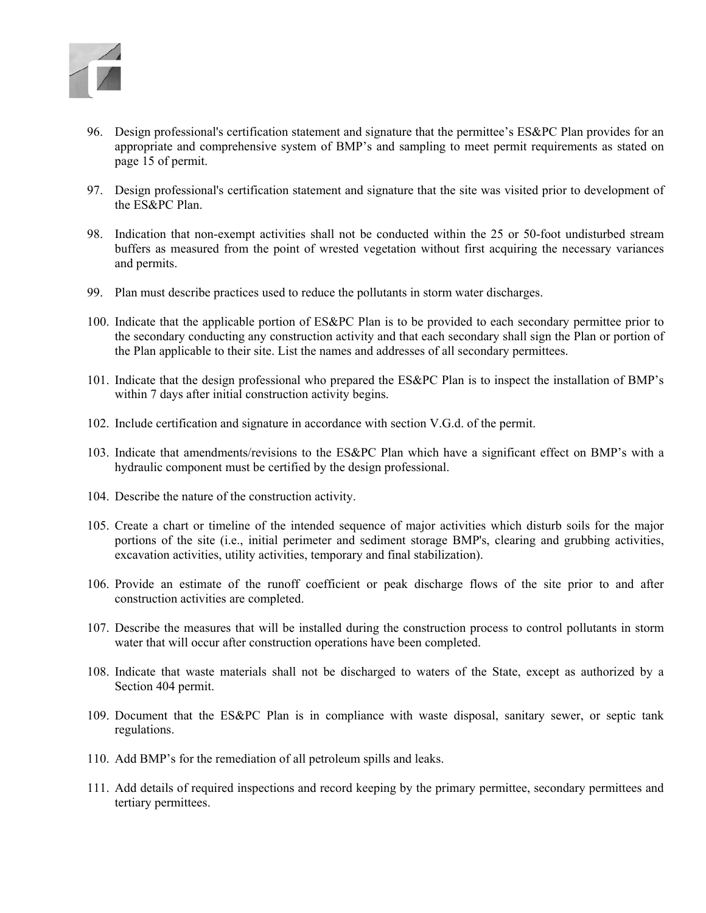

- 96. Design professional's certification statement and signature that the permittee's ES&PC Plan provides for an appropriate and comprehensive system of BMP's and sampling to meet permit requirements as stated on page 15 of permit.
- 97. Design professional's certification statement and signature that the site was visited prior to development of the ES&PC Plan.
- 98. Indication that non-exempt activities shall not be conducted within the 25 or 50-foot undisturbed stream buffers as measured from the point of wrested vegetation without first acquiring the necessary variances and permits.
- 99. Plan must describe practices used to reduce the pollutants in storm water discharges.
- 100. Indicate that the applicable portion of ES&PC Plan is to be provided to each secondary permittee prior to the secondary conducting any construction activity and that each secondary shall sign the Plan or portion of the Plan applicable to their site. List the names and addresses of all secondary permittees.
- 101. Indicate that the design professional who prepared the ES&PC Plan is to inspect the installation of BMP's within 7 days after initial construction activity begins.
- 102. Include certification and signature in accordance with section V.G.d. of the permit.
- 103. Indicate that amendments/revisions to the ES&PC Plan which have a significant effect on BMP's with a hydraulic component must be certified by the design professional.
- 104. Describe the nature of the construction activity.
- 105. Create a chart or timeline of the intended sequence of major activities which disturb soils for the major portions of the site (i.e., initial perimeter and sediment storage BMP's, clearing and grubbing activities, excavation activities, utility activities, temporary and final stabilization).
- 106. Provide an estimate of the runoff coefficient or peak discharge flows of the site prior to and after construction activities are completed.
- 107. Describe the measures that will be installed during the construction process to control pollutants in storm water that will occur after construction operations have been completed.
- 108. Indicate that waste materials shall not be discharged to waters of the State, except as authorized by a Section 404 permit.
- 109. Document that the ES&PC Plan is in compliance with waste disposal, sanitary sewer, or septic tank regulations.
- 110. Add BMP's for the remediation of all petroleum spills and leaks.
- 111. Add details of required inspections and record keeping by the primary permittee, secondary permittees and tertiary permittees.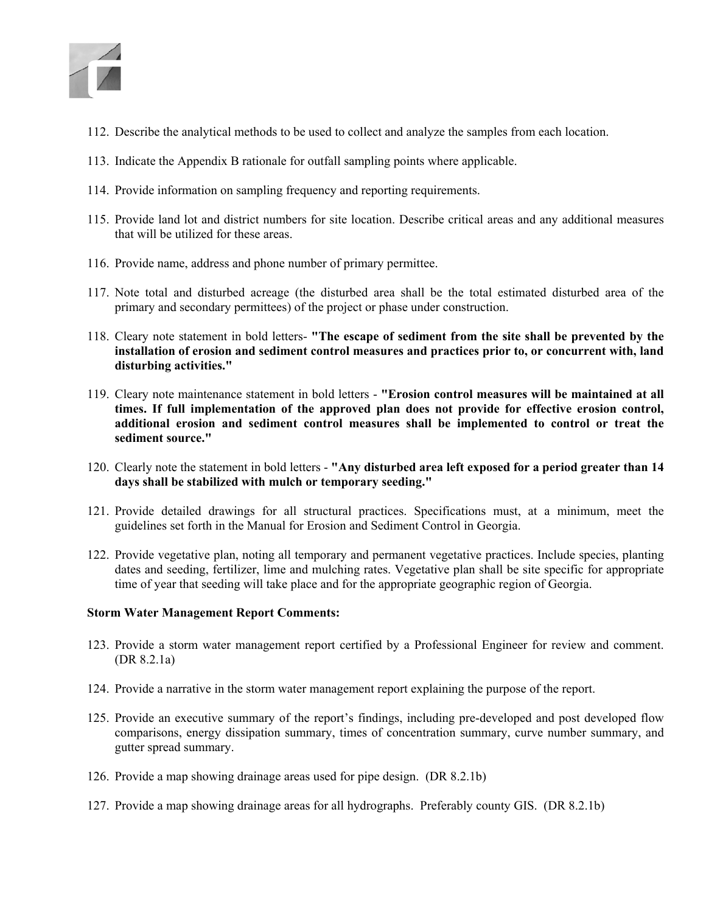

- 112. Describe the analytical methods to be used to collect and analyze the samples from each location.
- 113. Indicate the Appendix B rationale for outfall sampling points where applicable.
- 114. Provide information on sampling frequency and reporting requirements.
- 115. Provide land lot and district numbers for site location. Describe critical areas and any additional measures that will be utilized for these areas.
- 116. Provide name, address and phone number of primary permittee.
- 117. Note total and disturbed acreage (the disturbed area shall be the total estimated disturbed area of the primary and secondary permittees) of the project or phase under construction.
- 118. Cleary note statement in bold letters- **"The escape of sediment from the site shall be prevented by the installation of erosion and sediment control measures and practices prior to, or concurrent with, land disturbing activities."**
- 119. Cleary note maintenance statement in bold letters **"Erosion control measures will be maintained at all times. If full implementation of the approved plan does not provide for effective erosion control, additional erosion and sediment control measures shall be implemented to control or treat the sediment source."**
- 120. Clearly note the statement in bold letters **"Any disturbed area left exposed for a period greater than 14 days shall be stabilized with mulch or temporary seeding."**
- 121. Provide detailed drawings for all structural practices. Specifications must, at a minimum, meet the guidelines set forth in the Manual for Erosion and Sediment Control in Georgia.
- 122. Provide vegetative plan, noting all temporary and permanent vegetative practices. Include species, planting dates and seeding, fertilizer, lime and mulching rates. Vegetative plan shall be site specific for appropriate time of year that seeding will take place and for the appropriate geographic region of Georgia.

#### **Storm Water Management Report Comments:**

- 123. Provide a storm water management report certified by a Professional Engineer for review and comment. (DR 8.2.1a)
- 124. Provide a narrative in the storm water management report explaining the purpose of the report.
- 125. Provide an executive summary of the report's findings, including pre-developed and post developed flow comparisons, energy dissipation summary, times of concentration summary, curve number summary, and gutter spread summary.
- 126. Provide a map showing drainage areas used for pipe design. (DR 8.2.1b)
- 127. Provide a map showing drainage areas for all hydrographs. Preferably county GIS. (DR 8.2.1b)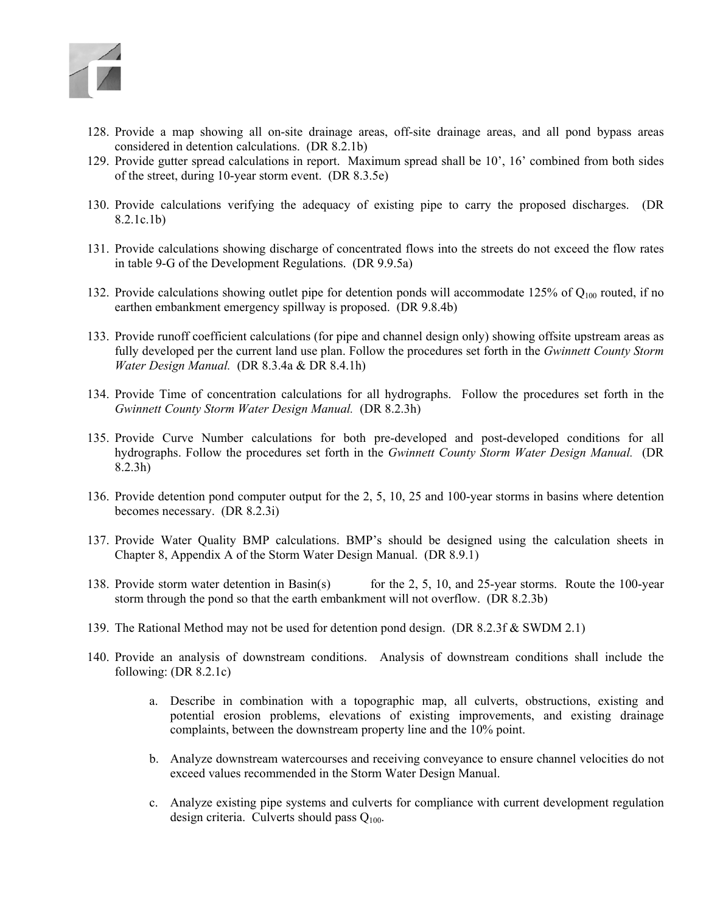

- 128. Provide a map showing all on-site drainage areas, off-site drainage areas, and all pond bypass areas considered in detention calculations. (DR 8.2.1b)
- 129. Provide gutter spread calculations in report. Maximum spread shall be 10', 16' combined from both sides of the street, during 10-year storm event. (DR 8.3.5e)
- 130. Provide calculations verifying the adequacy of existing pipe to carry the proposed discharges. (DR 8.2.1c.1b)
- 131. Provide calculations showing discharge of concentrated flows into the streets do not exceed the flow rates in table 9-G of the Development Regulations. (DR 9.9.5a)
- 132. Provide calculations showing outlet pipe for detention ponds will accommodate 125% of  $Q_{100}$  routed, if no earthen embankment emergency spillway is proposed. (DR 9.8.4b)
- 133. Provide runoff coefficient calculations (for pipe and channel design only) showing offsite upstream areas as fully developed per the current land use plan. Follow the procedures set forth in the *Gwinnett County Storm Water Design Manual.* (DR 8.3.4a & DR 8.4.1h)
- 134. Provide Time of concentration calculations for all hydrographs. Follow the procedures set forth in the *Gwinnett County Storm Water Design Manual.* (DR 8.2.3h)
- 135. Provide Curve Number calculations for both pre-developed and post-developed conditions for all hydrographs. Follow the procedures set forth in the *Gwinnett County Storm Water Design Manual.* (DR 8.2.3h)
- 136. Provide detention pond computer output for the 2, 5, 10, 25 and 100-year storms in basins where detention becomes necessary. (DR 8.2.3i)
- 137. Provide Water Quality BMP calculations. BMP's should be designed using the calculation sheets in Chapter 8, Appendix A of the Storm Water Design Manual. (DR 8.9.1)
- 138. Provide storm water detention in Basin(s) for the 2, 5, 10, and 25-year storms. Route the 100-year storm through the pond so that the earth embankment will not overflow. (DR 8.2.3b)
- 139. The Rational Method may not be used for detention pond design. (DR 8.2.3f & SWDM 2.1)
- 140. Provide an analysis of downstream conditions. Analysis of downstream conditions shall include the following: (DR 8.2.1c)
	- a. Describe in combination with a topographic map, all culverts, obstructions, existing and potential erosion problems, elevations of existing improvements, and existing drainage complaints, between the downstream property line and the 10% point.
	- b. Analyze downstream watercourses and receiving conveyance to ensure channel velocities do not exceed values recommended in the Storm Water Design Manual.
	- c. Analyze existing pipe systems and culverts for compliance with current development regulation design criteria. Culverts should pass  $Q_{100}$ .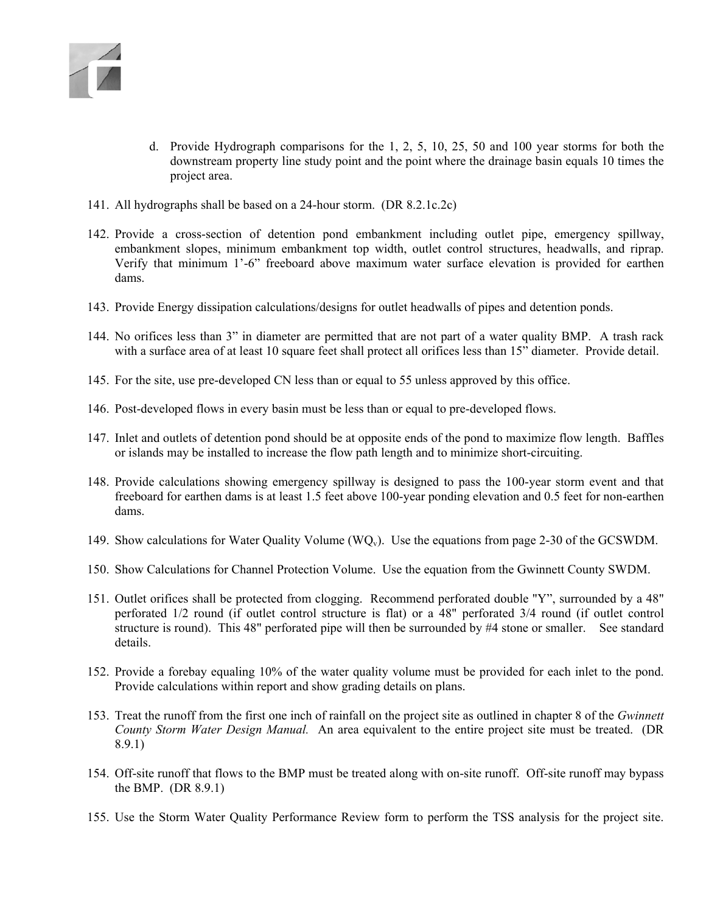

- d. Provide Hydrograph comparisons for the 1, 2, 5, 10, 25, 50 and 100 year storms for both the downstream property line study point and the point where the drainage basin equals 10 times the project area.
- 141. All hydrographs shall be based on a 24-hour storm. (DR 8.2.1c.2c)
- 142. Provide a cross-section of detention pond embankment including outlet pipe, emergency spillway, embankment slopes, minimum embankment top width, outlet control structures, headwalls, and riprap. Verify that minimum 1'-6" freeboard above maximum water surface elevation is provided for earthen dams.
- 143. Provide Energy dissipation calculations/designs for outlet headwalls of pipes and detention ponds.
- 144. No orifices less than 3" in diameter are permitted that are not part of a water quality BMP. A trash rack with a surface area of at least 10 square feet shall protect all orifices less than 15" diameter. Provide detail.
- 145. For the site, use pre-developed CN less than or equal to 55 unless approved by this office.
- 146. Post-developed flows in every basin must be less than or equal to pre-developed flows.
- 147. Inlet and outlets of detention pond should be at opposite ends of the pond to maximize flow length. Baffles or islands may be installed to increase the flow path length and to minimize short-circuiting.
- 148. Provide calculations showing emergency spillway is designed to pass the 100-year storm event and that freeboard for earthen dams is at least 1.5 feet above 100-year ponding elevation and 0.5 feet for non-earthen dams.
- 149. Show calculations for Water Quality Volume ( $WQ_v$ ). Use the equations from page 2-30 of the GCSWDM.
- 150. Show Calculations for Channel Protection Volume. Use the equation from the Gwinnett County SWDM.
- 151. Outlet orifices shall be protected from clogging. Recommend perforated double "Y", surrounded by a 48" perforated 1/2 round (if outlet control structure is flat) or a 48" perforated 3/4 round (if outlet control structure is round). This 48" perforated pipe will then be surrounded by #4 stone or smaller. See standard details.
- 152. Provide a forebay equaling 10% of the water quality volume must be provided for each inlet to the pond. Provide calculations within report and show grading details on plans.
- 153. Treat the runoff from the first one inch of rainfall on the project site as outlined in chapter 8 of the *Gwinnett County Storm Water Design Manual.* An area equivalent to the entire project site must be treated. (DR 8.9.1)
- 154. Off-site runoff that flows to the BMP must be treated along with on-site runoff. Off-site runoff may bypass the BMP. (DR 8.9.1)
- 155. Use the Storm Water Quality Performance Review form to perform the TSS analysis for the project site.